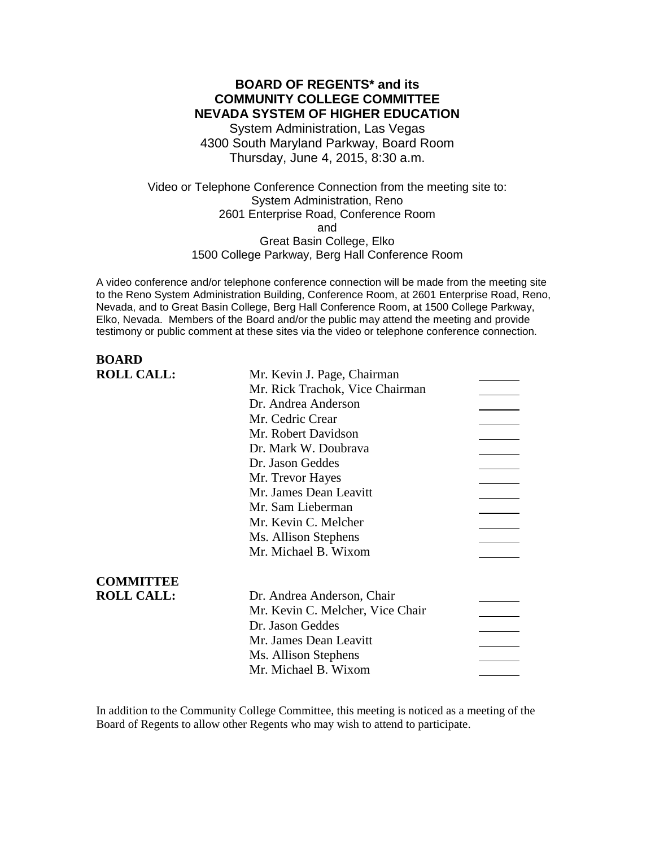### **BOARD OF REGENTS\* and its COMMUNITY COLLEGE COMMITTEE NEVADA SYSTEM OF HIGHER EDUCATION**

System Administration, Las Vegas 4300 South Maryland Parkway, Board Room Thursday, June 4, 2015, 8:30 a.m.

Video or Telephone Conference Connection from the meeting site to: System Administration, Reno 2601 Enterprise Road, Conference Room and Great Basin College, Elko 1500 College Parkway, Berg Hall Conference Room

A video conference and/or telephone conference connection will be made from the meeting site to the Reno System Administration Building, Conference Room, at 2601 Enterprise Road, Reno, Nevada, and to Great Basin College, Berg Hall Conference Room, at 1500 College Parkway, Elko, Nevada. Members of the Board and/or the public may attend the meeting and provide testimony or public comment at these sites via the video or telephone conference connection.

# **BOARD**<br>**POLL CALL**

| <b>ROLL CALL:</b> | Mr. Kevin J. Page, Chairman      |  |
|-------------------|----------------------------------|--|
|                   | Mr. Rick Trachok, Vice Chairman  |  |
|                   | Dr. Andrea Anderson              |  |
|                   | Mr. Cedric Crear                 |  |
|                   | Mr. Robert Davidson              |  |
|                   | Dr. Mark W. Doubrava             |  |
|                   | Dr. Jason Geddes                 |  |
|                   | Mr. Trevor Hayes                 |  |
|                   | Mr. James Dean Leavitt           |  |
|                   | Mr. Sam Lieberman                |  |
|                   | Mr. Kevin C. Melcher             |  |
|                   | Ms. Allison Stephens             |  |
|                   | Mr. Michael B. Wixom             |  |
| <b>COMMITTEE</b>  |                                  |  |
| <b>ROLL CALL:</b> | Dr. Andrea Anderson, Chair       |  |
|                   | Mr. Kevin C. Melcher, Vice Chair |  |
|                   | Dr. Jason Geddes                 |  |
|                   | Mr. James Dean Leavitt           |  |
|                   | Ms. Allison Stephens             |  |
|                   | Mr. Michael B. Wixom             |  |
|                   |                                  |  |

In addition to the Community College Committee, this meeting is noticed as a meeting of the Board of Regents to allow other Regents who may wish to attend to participate.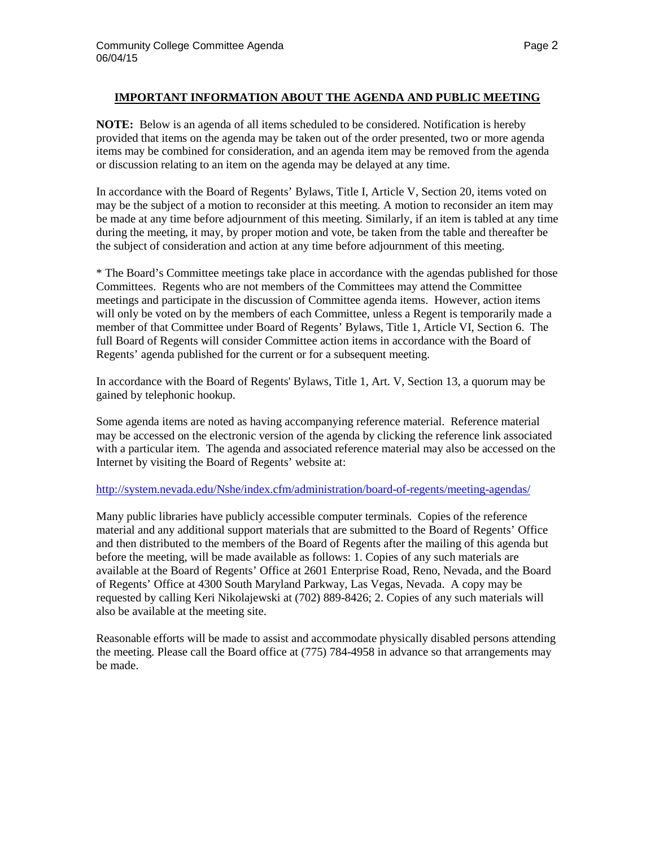### **IMPORTANT INFORMATION ABOUT THE AGENDA AND PUBLIC MEETING**

**NOTE:** Below is an agenda of all items scheduled to be considered. Notification is hereby provided that items on the agenda may be taken out of the order presented, two or more agenda items may be combined for consideration, and an agenda item may be removed from the agenda or discussion relating to an item on the agenda may be delayed at any time.

In accordance with the Board of Regents' Bylaws, Title I, Article V, Section 20, items voted on may be the subject of a motion to reconsider at this meeting. A motion to reconsider an item may be made at any time before adjournment of this meeting. Similarly, if an item is tabled at any time during the meeting, it may, by proper motion and vote, be taken from the table and thereafter be the subject of consideration and action at any time before adjournment of this meeting.

\* The Board's Committee meetings take place in accordance with the agendas published for those Committees. Regents who are not members of the Committees may attend the Committee meetings and participate in the discussion of Committee agenda items. However, action items will only be voted on by the members of each Committee, unless a Regent is temporarily made a member of that Committee under Board of Regents' Bylaws, Title 1, Article VI, Section 6. The full Board of Regents will consider Committee action items in accordance with the Board of Regents' agenda published for the current or for a subsequent meeting.

In accordance with the Board of Regents' Bylaws, Title 1, Art. V, Section 13, a quorum may be gained by telephonic hookup.

Some agenda items are noted as having accompanying reference material. Reference material may be accessed on the electronic version of the agenda by clicking the reference link associated with a particular item. The agenda and associated reference material may also be accessed on the Internet by visiting the Board of Regents' website at:

#### <http://system.nevada.edu/Nshe/index.cfm/administration/board-of-regents/meeting-agendas/>

Many public libraries have publicly accessible computer terminals. Copies of the reference material and any additional support materials that are submitted to the Board of Regents' Office and then distributed to the members of the Board of Regents after the mailing of this agenda but before the meeting, will be made available as follows: 1. Copies of any such materials are available at the Board of Regents' Office at 2601 Enterprise Road, Reno, Nevada, and the Board of Regents' Office at 4300 South Maryland Parkway, Las Vegas, Nevada. A copy may be requested by calling Keri Nikolajewski at (702) 889-8426; 2. Copies of any such materials will also be available at the meeting site.

Reasonable efforts will be made to assist and accommodate physically disabled persons attending the meeting. Please call the Board office at (775) 784-4958 in advance so that arrangements may be made.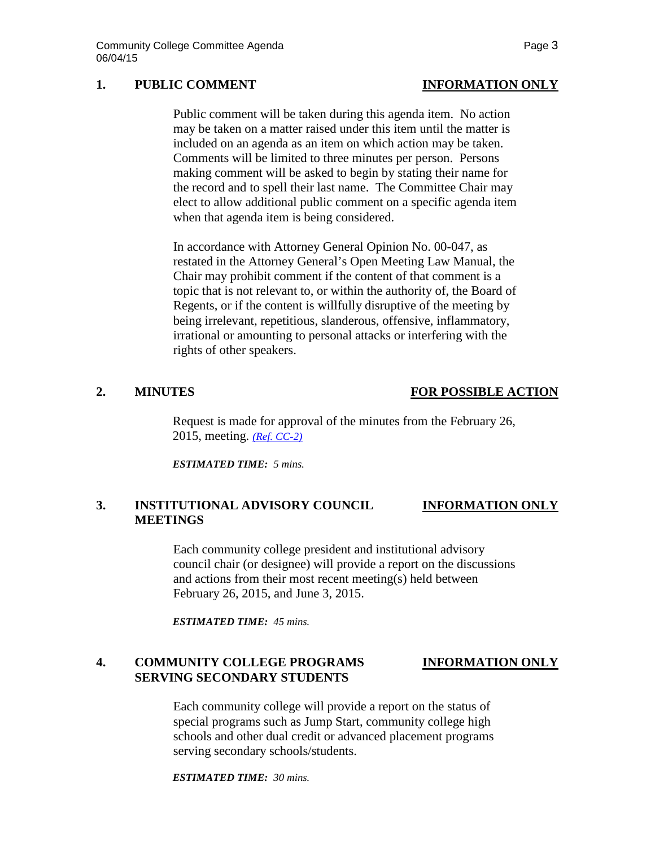# **1. PUBLIC COMMENT INFORMATION ONLY**

Public comment will be taken during this agenda item. No action may be taken on a matter raised under this item until the matter is included on an agenda as an item on which action may be taken. Comments will be limited to three minutes per person. Persons making comment will be asked to begin by stating their name for the record and to spell their last name. The Committee Chair may elect to allow additional public comment on a specific agenda item when that agenda item is being considered.

In accordance with Attorney General Opinion No. 00-047, as restated in the Attorney General's Open Meeting Law Manual, the Chair may prohibit comment if the content of that comment is a topic that is not relevant to, or within the authority of, the Board of Regents, or if the content is willfully disruptive of the meeting by being irrelevant, repetitious, slanderous, offensive, inflammatory, irrational or amounting to personal attacks or interfering with the rights of other speakers.

### **2. MINUTES FOR POSSIBLE ACTION**

Request is made for approval of the minutes from the February 26, 2015, meeting. *[\(Ref. CC-2\)](http://system.nevada.edu/tasks/sites/Nshe/assets/File/BoardOfRegents/Agendas/2015/jun-mtgs/cc-refs/CC-2.pdf)*

*ESTIMATED TIME: 5 mins.*

#### **3. INSTITUTIONAL ADVISORY COUNCIL INFORMATION ONLY MEETINGS**

Each community college president and institutional advisory council chair (or designee) will provide a report on the discussions and actions from their most recent meeting(s) held between February 26, 2015, and June 3, 2015.

*ESTIMATED TIME: 45 mins.*

# **4. COMMUNITY COLLEGE PROGRAMS INFORMATION ONLY SERVING SECONDARY STUDENTS**

Each community college will provide a report on the status of special programs such as Jump Start, community college high schools and other dual credit or advanced placement programs serving secondary schools/students.

*ESTIMATED TIME: 30 mins.*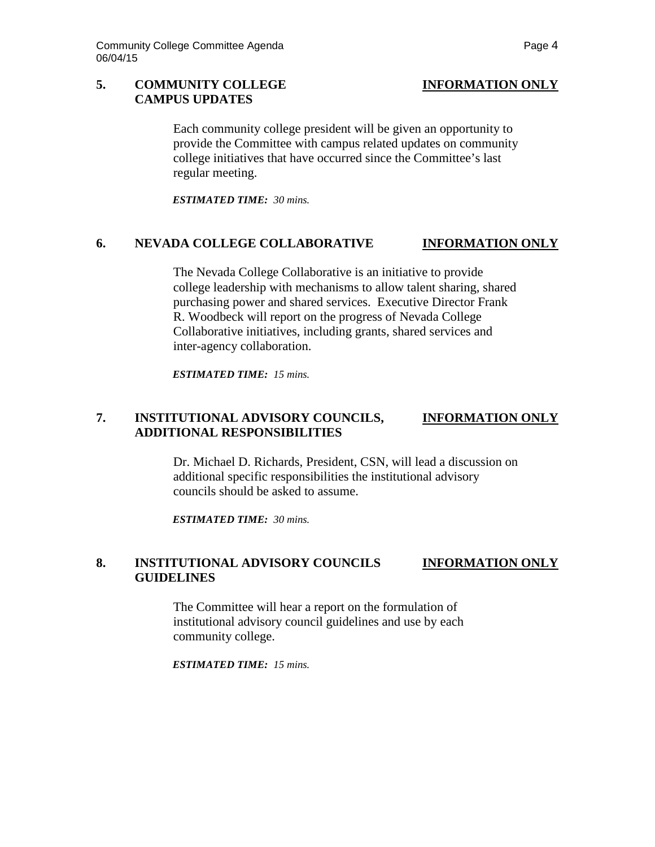#### **5. COMMUNITY COLLEGE INFORMATION ONLY CAMPUS UPDATES**

Each community college president will be given an opportunity to provide the Committee with campus related updates on community college initiatives that have occurred since the Committee's last regular meeting.

*ESTIMATED TIME: 30 mins.*

#### **6. NEVADA COLLEGE COLLABORATIVE INFORMATION ONLY**

The Nevada College Collaborative is an initiative to provide college leadership with mechanisms to allow talent sharing, shared purchasing power and shared services. Executive Director Frank R. Woodbeck will report on the progress of Nevada College Collaborative initiatives, including grants, shared services and inter-agency collaboration.

*ESTIMATED TIME: 15 mins.*

### **7. INSTITUTIONAL ADVISORY COUNCILS, INFORMATION ONLY ADDITIONAL RESPONSIBILITIES**

Dr. Michael D. Richards, President, CSN, will lead a discussion on additional specific responsibilities the institutional advisory councils should be asked to assume.

*ESTIMATED TIME: 30 mins.*

#### **8. INSTITUTIONAL ADVISORY COUNCILS INFORMATION ONLY GUIDELINES**

The Committee will hear a report on the formulation of institutional advisory council guidelines and use by each community college.

*ESTIMATED TIME: 15 mins.*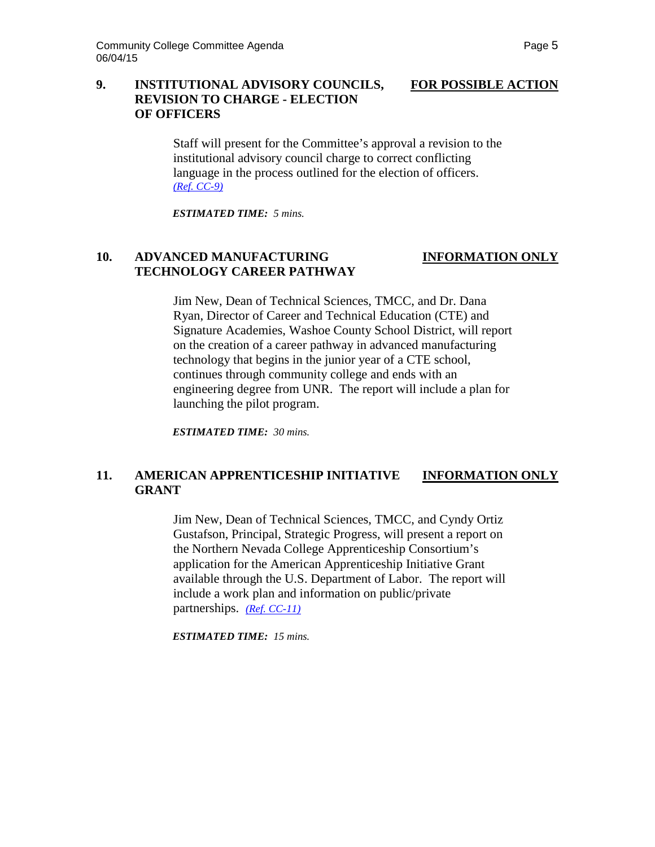# **9. INSTITUTIONAL ADVISORY COUNCILS, FOR POSSIBLE ACTION REVISION TO CHARGE - ELECTION OF OFFICERS**

Staff will present for the Committee's approval a revision to the institutional advisory council charge to correct conflicting language in the process outlined for the election of officers. *[\(Ref. CC-9\)](http://system.nevada.edu/tasks/sites/Nshe/assets/File/BoardOfRegents/Agendas/2015/jun-mtgs/cc-refs/CC-9.pdf)*

*ESTIMATED TIME: 5 mins.*

# **10. ADVANCED MANUFACTURING INFORMATION ONLY TECHNOLOGY CAREER PATHWAY**

Jim New, Dean of Technical Sciences, TMCC, and Dr. Dana Ryan, Director of Career and Technical Education (CTE) and Signature Academies, Washoe County School District, will report on the creation of a career pathway in advanced manufacturing technology that begins in the junior year of a CTE school, continues through community college and ends with an engineering degree from UNR. The report will include a plan for launching the pilot program.

*ESTIMATED TIME: 30 mins.*

### **11. AMERICAN APPRENTICESHIP INITIATIVE INFORMATION ONLY GRANT**

Jim New, Dean of Technical Sciences, TMCC, and Cyndy Ortiz Gustafson, Principal, Strategic Progress, will present a report on the Northern Nevada College Apprenticeship Consortium's application for the American Apprenticeship Initiative Grant available through the U.S. Department of Labor. The report will include a work plan and information on public/private partnerships. *[\(Ref. CC-11\)](http://system.nevada.edu/tasks/sites/Nshe/assets/File/BoardOfRegents/Agendas/2015/jun-mtgs/cc-refs/CC-11.pdf)*

*ESTIMATED TIME: 15 mins.*